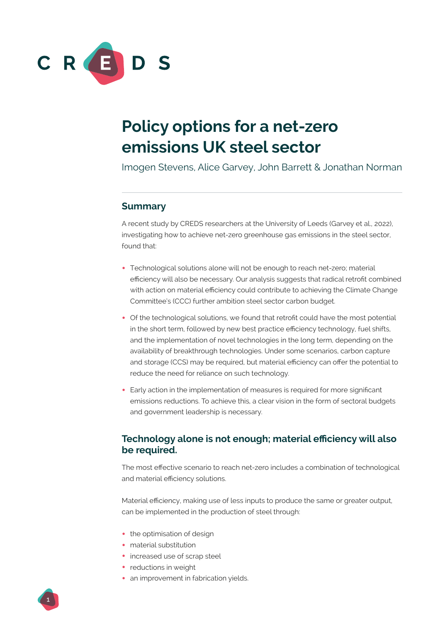

# **Policy options for a net-zero emissions UK steel sector**

Imogen Stevens, Alice Garvey, John Barrett & Jonathan Norman

## **Summary**

A recent study by CREDS researchers at the University of Leeds (Garvey et al., 2022), investigating how to achieve net-zero greenhouse gas emissions in the steel sector, found that:

- **•** Technological solutions alone will not be enough to reach net-zero; material efficiency will also be necessary. Our analysis suggests that radical retrofit combined with action on material efficiency could contribute to achieving the Climate Change Committee's (CCC) further ambition steel sector carbon budget.
- **•** Of the technological solutions, we found that retrofit could have the most potential in the short term, followed by new best practice efficiency technology, fuel shifts, and the implementation of novel technologies in the long term, depending on the availability of breakthrough technologies. Under some scenarios, carbon capture and storage (CCS) may be required, but material efficiency can offer the potential to reduce the need for reliance on such technology.
- **•** Early action in the implementation of measures is required for more significant emissions reductions. To achieve this, a clear vision in the form of sectoral budgets and government leadership is necessary.

## **Technology alone is not enough; material efficiency will also be required.**

The most effective scenario to reach net-zero includes a combination of technological and material efficiency solutions.

Material efficiency, making use of less inputs to produce the same or greater output, can be implemented in the production of steel through:

- **•** the optimisation of design
- **•** material substitution
- **•** increased use of scrap steel
- **•** reductions in weight
- **•** an improvement in fabrication yields.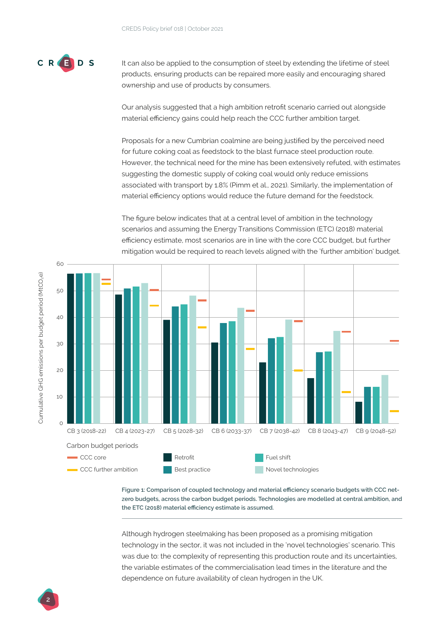

It can also be applied to the consumption of steel by extending the lifetime of steel products, ensuring products can be repaired more easily and encouraging shared ownership and use of products by consumers.

Our analysis suggested that a high ambition retrofit scenario carried out alongside material efficiency gains could help reach the CCC further ambition target.

Proposals for a new Cumbrian coalmine are being justified by the perceived need for future coking coal as feedstock to the blast furnace steel production route. However, the technical need for the mine has been extensively refuted, with estimates suggesting the domestic supply of coking coal would only reduce emissions associated with transport by 1.8% (Pimm et al., 2021). Similarly, the implementation of material efficiency options would reduce the future demand for the feedstock.

The figure below indicates that at a central level of ambition in the technology scenarios and assuming the Energy Transitions Commission (ETC) (2018) material efficiency estimate, most scenarios are in line with the core CCC budget, but further mitigation would be required to reach levels aligned with the 'further ambition' budget.



**Figure 1: Comparison of coupled technology and material efficiency scenario budgets with CCC netzero budgets, across the carbon budget periods. Technologies are modelled at central ambition, and the ETC (2018) material efficiency estimate is assumed.**

Although hydrogen steelmaking has been proposed as a promising mitigation technology in the sector, it was not included in the 'novel technologies' scenario. This was due to: the complexity of representing this production route and its uncertainties, the variable estimates of the commercialisation lead times in the literature and the dependence on future availability of clean hydrogen in the UK.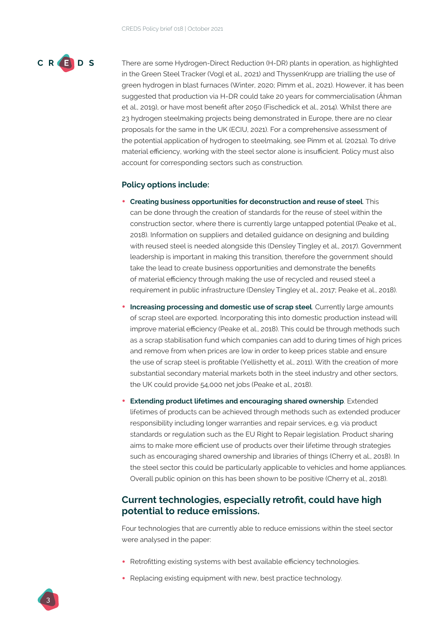

There are some Hydrogen-Direct Reduction (H-DR) plants in operation, as highlighted in the Green Steel Tracker (Vogl et al., 2021) and ThyssenKrupp are trialling the use of green hydrogen in blast furnaces (Winter, 2020; Pimm et al., 2021). However, it has been suggested that production via H-DR could take 20 years for commercialisation (Åhman et al., 2019), or have most benefit after 2050 (Fischedick et al., 2014). Whilst there are 23 hydrogen steelmaking projects being demonstrated in Europe, there are no clear proposals for the same in the UK (ECIU, 2021). For a comprehensive assessment of the potential application of hydrogen to steelmaking, see Pimm et al. (2021a). To drive material efficiency, working with the steel sector alone is insufficient. Policy must also account for corresponding sectors such as construction.

#### **Policy options include:**

- **• Creating business opportunities for deconstruction and reuse of steel**. This can be done through the creation of standards for the reuse of steel within the construction sector, where there is currently large untapped potential (Peake et al., 2018). Information on suppliers and detailed guidance on designing and building with reused steel is needed alongside this (Densley Tingley et al., 2017). Government leadership is important in making this transition, therefore the government should take the lead to create business opportunities and demonstrate the benefits of material efficiency through making the use of recycled and reused steel a requirement in public infrastructure (Densley Tingley et al., 2017; Peake et al., 2018).
- **• Increasing processing and domestic use of scrap steel**. Currently large amounts of scrap steel are exported. Incorporating this into domestic production instead will improve material efficiency (Peake et al., 2018). This could be through methods such as a scrap stabilisation fund which companies can add to during times of high prices and remove from when prices are low in order to keep prices stable and ensure the use of scrap steel is profitable (Yellishetty et al., 2011). With the creation of more substantial secondary material markets both in the steel industry and other sectors, the UK could provide 54,000 net jobs (Peake et al., 2018).
- **• Extending product lifetimes and encouraging shared ownership**. Extended lifetimes of products can be achieved through methods such as extended producer responsibility including longer warranties and repair services, e.g. via product standards or regulation such as the EU Right to Repair legislation. Product sharing aims to make more efficient use of products over their lifetime through strategies such as encouraging shared ownership and libraries of things (Cherry et al., 2018). In the steel sector this could be particularly applicable to vehicles and home appliances. Overall public opinion on this has been shown to be positive (Cherry et al., 2018).

## **Current technologies, especially retrofit, could have high potential to reduce emissions.**

Four technologies that are currently able to reduce emissions within the steel sector were analysed in the paper:

- Retrofitting existing systems with best available efficiency technologies.
- **•** Replacing existing equipment with new, best practice technology.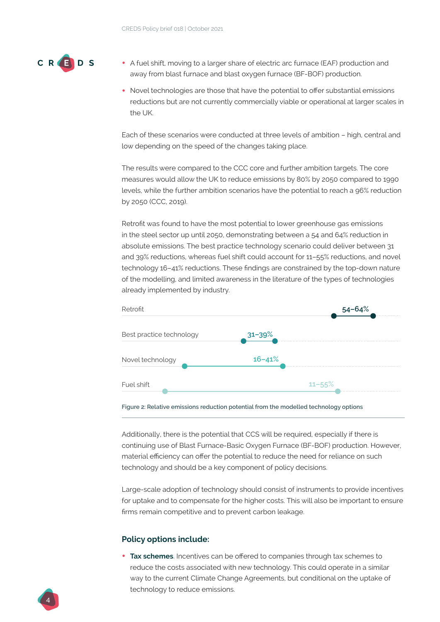

- **•** A fuel shift, moving to a larger share of electric arc furnace (EAF) production and away from blast furnace and blast oxygen furnace (BF-BOF) production.
- Novel technologies are those that have the potential to offer substantial emissions reductions but are not currently commercially viable or operational at larger scales in the UK.

Each of these scenarios were conducted at three levels of ambition – high, central and low depending on the speed of the changes taking place.

The results were compared to the CCC core and further ambition targets. The core measures would allow the UK to reduce emissions by 80% by 2050 compared to 1990 levels, while the further ambition scenarios have the potential to reach a 96% reduction by 2050 (CCC, 2019).

Retrofit was found to have the most potential to lower greenhouse gas emissions in the steel sector up until 2050, demonstrating between a 54 and 64% reduction in absolute emissions. The best practice technology scenario could deliver between 31 and 39% reductions, whereas fuel shift could account for 11–55% reductions, and novel technology 16–41% reductions. These findings are constrained by the top-down nature of the modelling, and limited awareness in the literature of the types of technologies already implemented by industry.



**Figure 2: Relative emissions reduction potential from the modelled technology options** 

Additionally, there is the potential that CCS will be required, especially if there is continuing use of Blast Furnace-Basic Oxygen Furnace (BF-BOF) production. However, material efficiency can offer the potential to reduce the need for reliance on such technology and should be a key component of policy decisions.

Large-scale adoption of technology should consist of instruments to provide incentives for uptake and to compensate for the higher costs. This will also be important to ensure firms remain competitive and to prevent carbon leakage.

#### **Policy options include:**

**• Tax schemes**. Incentives can be offered to companies through tax schemes to reduce the costs associated with new technology. This could operate in a similar way to the current Climate Change Agreements, but conditional on the uptake of technology to reduce emissions.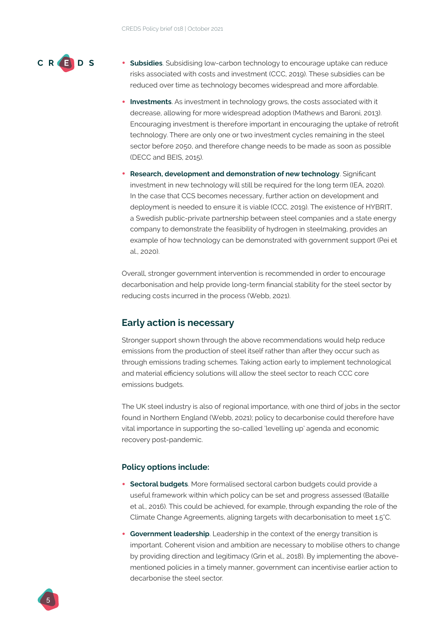

- **• Subsidies**. Subsidising low-carbon technology to encourage uptake can reduce risks associated with costs and investment (CCC, 2019). These subsidies can be reduced over time as technology becomes widespread and more affordable.
- **• Investments**. As investment in technology grows, the costs associated with it decrease, allowing for more widespread adoption (Mathews and Baroni, 2013). Encouraging investment is therefore important in encouraging the uptake of retrofit technology. There are only one or two investment cycles remaining in the steel sector before 2050, and therefore change needs to be made as soon as possible (DECC and BEIS, 2015).
- **• Research, development and demonstration of new technology**. Significant investment in new technology will still be required for the long term (IEA, 2020). In the case that CCS becomes necessary, further action on development and deployment is needed to ensure it is viable (CCC, 2019). The existence of HYBRIT, a Swedish public-private partnership between steel companies and a state energy company to demonstrate the feasibility of hydrogen in steelmaking, provides an example of how technology can be demonstrated with government support (Pei et al., 2020).

Overall, stronger government intervention is recommended in order to encourage decarbonisation and help provide long-term financial stability for the steel sector by reducing costs incurred in the process (Webb, 2021).

#### **Early action is necessary**

Stronger support shown through the above recommendations would help reduce emissions from the production of steel itself rather than after they occur such as through emissions trading schemes. Taking action early to implement technological and material efficiency solutions will allow the steel sector to reach CCC core emissions budgets.

The UK steel industry is also of regional importance, with one third of jobs in the sector found in Northern England (Webb, 2021); policy to decarbonise could therefore have vital importance in supporting the so-called 'levelling up' agenda and economic recovery post-pandemic.

#### **Policy options include:**

- **• Sectoral budgets**. More formalised sectoral carbon budgets could provide a useful framework within which policy can be set and progress assessed (Bataille et al., 2016). This could be achieved, for example, through expanding the role of the Climate Change Agreements, aligning targets with decarbonisation to meet 1.5°C.
- **• Government leadership**. Leadership in the context of the energy transition is important. Coherent vision and ambition are necessary to mobilise others to change by providing direction and legitimacy (Grin et al., 2018). By implementing the abovementioned policies in a timely manner, government can incentivise earlier action to decarbonise the steel sector.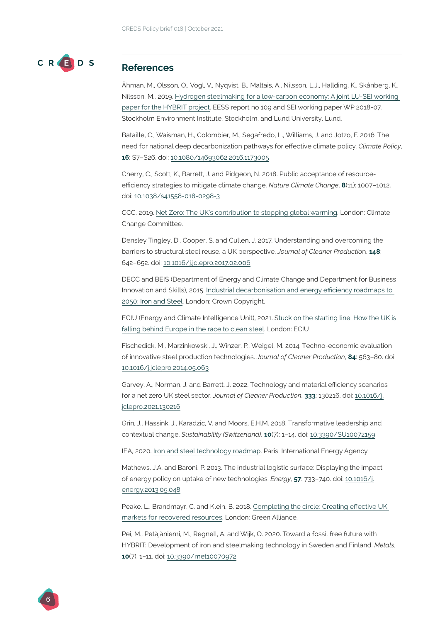

#### **References**

Åhman, M., Olsson, O., Vogl, V., Nyqvist, B., Maltais, A., Nilsson, L.J., Hallding, K., Skånberg, K., Nilsson, M., 2019. [Hydrogen steelmaking for a low-carbon economy: A joint LU-SEI working](https://www.sei.org/publications/hydrogen-steelmaking/)  [paper for the HYBRIT project.](https://www.sei.org/publications/hydrogen-steelmaking/) EESS report no 109 and SEI working paper WP 2018-07. Stockholm Environment Institute, Stockholm, and Lund University, Lund.

Bataille, C., Waisman, H., Colombier, M., Segafredo, L., Williams, J. and Jotzo, F. 2016. The need for national deep decarbonization pathways for effective climate policy. *Climate Policy*, **16**: S7–S26. doi: [10.1080/14693062.2016.1173005](https://doi.org/10.1080/14693062.2016.1173005)

Cherry, C., Scott, K., Barrett, J. and Pidgeon, N. 2018. Public acceptance of resourceefficiency strategies to mitigate climate change. *Nature Climate Change*, **8**(11): 1007–1012. doi: [10.1038/s41558-018-0298-3](https://doi.org/10.1038/s41558-018-0298-3)

CCC, 2019. [Net Zero: The UK's contribution to stopping global warming](https://www.theccc.org.uk/publication/net-zero-the-uks-contribution-to-stopping-global-warming/). London: Climate Change Committee.

Densley Tingley, D., Cooper, S. and Cullen, J. 2017. Understanding and overcoming the barriers to structural steel reuse, a UK perspective. *Journal of Cleaner Productio*n, **148**: 642–652. doi: [10.1016/j.jclepro.2017.02.006](https://doi.org/10.1016/j.jclepro.2017.02.006 )

DECC and BEIS (Department of Energy and Climate Change and Department for Business Innovation and Skills), 2015. [Industrial decarbonisation and energy efficiency roadmaps to](https://assets.publishing.service.gov.uk/government/uploads/system/uploads/attachment_data/file/416667/Iron_and_Steel_Report.pdf)  [2050: Iron and Steel](https://assets.publishing.service.gov.uk/government/uploads/system/uploads/attachment_data/file/416667/Iron_and_Steel_Report.pdf). London: Crown Copyright.

ECIU (Energy and Climate Intelligence Unit), 2021. [Stuck on the starting line: How the UK is](https://eciu.net/news-and-events/press-releases/2021/report-uk-is-falling-behind-europe-in-clean-steel-race)  [falling behind Europe in the race to clean steel](https://eciu.net/news-and-events/press-releases/2021/report-uk-is-falling-behind-europe-in-clean-steel-race). London: ECIU

Fischedick, M., Marzinkowski, J., Winzer, P., Weigel, M. 2014. Techno-economic evaluation of innovative steel production technologies. *Journal of Cleaner Production*, **84**: 563–80. doi: [10.1016/j.jclepro.2014.05.063](https://doi.org/10.1016/j.jclepro.2014.05.063)

Garvey, A., Norman, J. and Barrett, J. 2022. Technology and material efficiency scenarios for a net zero UK steel sector. *Journal of Cleaner Production*, **333**: 130216. doi: [10.1016/j.](https://doi.org/10.1016/j.jclepro.2021.130216) [jclepro.2021.130216](https://doi.org/10.1016/j.jclepro.2021.130216)

Grin, J., Hassink, J., Karadzic, V. and Moors, E.H.M. 2018. Transformative leadership and contextual change. *Sustainability (Switzerland)*, **10**(7): 1–14. doi: [10.3390/SU10072159](https://doi.org/10.3390/su10072159)

IEA, 2020. [Iron and steel technology roadmap](https://www.iea.org/reports/iron-and-steel-technology-roadmap). Paris: International Energy Agency.

Mathews, J.A. and Baroni, P. 2013. The industrial logistic surface: Displaying the impact of energy policy on uptake of new technologies. *Energy*, **57**: 733–740. doi: [10.1016/j.](https://doi.org/10.1016/j.energy.2013.05.048) [energy.2013.05.048](https://doi.org/10.1016/j.energy.2013.05.048)

Peake, L., Brandmayr, C. and Klein, B. 2018. [Completing the circle: Creating effective UK](https://www.green-alliance.org.uk/resources/Completing_the_circle.pdf)  [markets for recovered resources.](https://www.green-alliance.org.uk/resources/Completing_the_circle.pdf) London: Green Alliance.

Pei, M., Petäjäniemi, M., Regnell, A. and Wijk, O. 2020. Toward a fossil free future with HYBRIT: Development of iron and steelmaking technology in Sweden and Finland. *Metals*, **10**(7): 1–11. doi: [10.3390/met10070972](http://dx.doi.org/10.3390/met10070972)